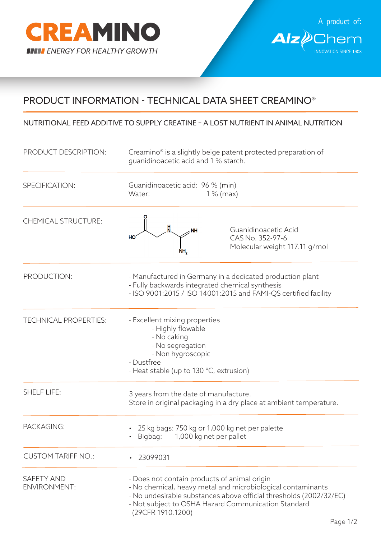



## PRODUCT INFORMATION - TECHNICAL DATA SHEET CREAMINO®

## NUTRITIONAL FEED ADDITIVE TO SUPPLY CREATINE – A LOST NUTRIENT IN ANIMAL NUTRITION

| PRODUCT DESCRIPTION:                     | Creamino® is a slightly beige patent protected preparation of<br>guanidinoacetic acid and 1 % starch.                                                                                                                                                         |
|------------------------------------------|---------------------------------------------------------------------------------------------------------------------------------------------------------------------------------------------------------------------------------------------------------------|
| SPECIFICATION:                           | Guanidinoacetic acid: 96 % (min)<br>Water:<br>$1\%$ (max)                                                                                                                                                                                                     |
| <b>CHEMICAL STRUCTURE:</b>               | Guanidinoacetic Acid<br><b>NH</b><br>CAS No. 352-97-6<br>HO<br>Molecular weight 117.11 g/mol                                                                                                                                                                  |
| PRODUCTION:                              | - Manufactured in Germany in a dedicated production plant<br>- Fully backwards integrated chemical synthesis<br>- ISO 9001:2015 / ISO 14001:2015 and FAMI-QS certified facility                                                                               |
| <b>TECHNICAL PROPERTIES:</b>             | - Excellent mixing properties<br>- Highly flowable<br>- No caking<br>- No segregation<br>- Non hygroscopic<br>- Dustfree<br>- Heat stable (up to 130 °C, extrusion)                                                                                           |
| <b>SHELF LIFE:</b>                       | 3 years from the date of manufacture.<br>Store in original packaging in a dry place at ambient temperature.                                                                                                                                                   |
| PACKAGING:                               | 25 kg bags: 750 kg or 1,000 kg net per palette<br>1,000 kg net per pallet<br>Bigbag:                                                                                                                                                                          |
| <b>CUSTOM TARIFF NO.:</b>                | 23099031                                                                                                                                                                                                                                                      |
| <b>SAFETY AND</b><br><b>ENVIRONMENT:</b> | - Does not contain products of animal origin<br>- No chemical, heavy metal and microbiological contaminants<br>- No undesirable substances above official thresholds (2002/32/EC)<br>- Not subject to OSHA Hazard Communication Standard<br>(29CFR 1910.1200) |

Page 1/2